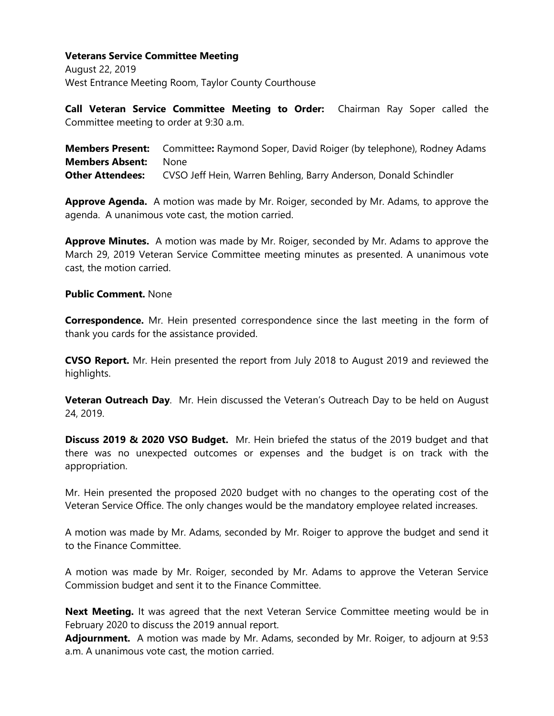## **Veterans Service Committee Meeting**

August 22, 2019 West Entrance Meeting Room, Taylor County Courthouse

**Call Veteran Service Committee Meeting to Order:** Chairman Ray Soper called the Committee meeting to order at 9:30 a.m.

**Members Present:** Committee**:** Raymond Soper, David Roiger (by telephone), Rodney Adams **Members Absent:** None **Other Attendees:** CVSO Jeff Hein, Warren Behling, Barry Anderson, Donald Schindler

**Approve Agenda.** A motion was made by Mr. Roiger, seconded by Mr. Adams, to approve the agenda. A unanimous vote cast, the motion carried.

**Approve Minutes.** A motion was made by Mr. Roiger, seconded by Mr. Adams to approve the March 29, 2019 Veteran Service Committee meeting minutes as presented. A unanimous vote cast, the motion carried.

## **Public Comment.** None

**Correspondence.** Mr. Hein presented correspondence since the last meeting in the form of thank you cards for the assistance provided.

**CVSO Report.** Mr. Hein presented the report from July 2018 to August 2019 and reviewed the highlights.

**Veteran Outreach Day**. Mr. Hein discussed the Veteran's Outreach Day to be held on August 24, 2019.

**Discuss 2019 & 2020 VSO Budget.** Mr. Hein briefed the status of the 2019 budget and that there was no unexpected outcomes or expenses and the budget is on track with the appropriation.

Mr. Hein presented the proposed 2020 budget with no changes to the operating cost of the Veteran Service Office. The only changes would be the mandatory employee related increases.

A motion was made by Mr. Adams, seconded by Mr. Roiger to approve the budget and send it to the Finance Committee.

A motion was made by Mr. Roiger, seconded by Mr. Adams to approve the Veteran Service Commission budget and sent it to the Finance Committee.

**Next Meeting.** It was agreed that the next Veteran Service Committee meeting would be in February 2020 to discuss the 2019 annual report.

**Adjournment.** A motion was made by Mr. Adams, seconded by Mr. Roiger, to adjourn at 9:53 a.m. A unanimous vote cast, the motion carried.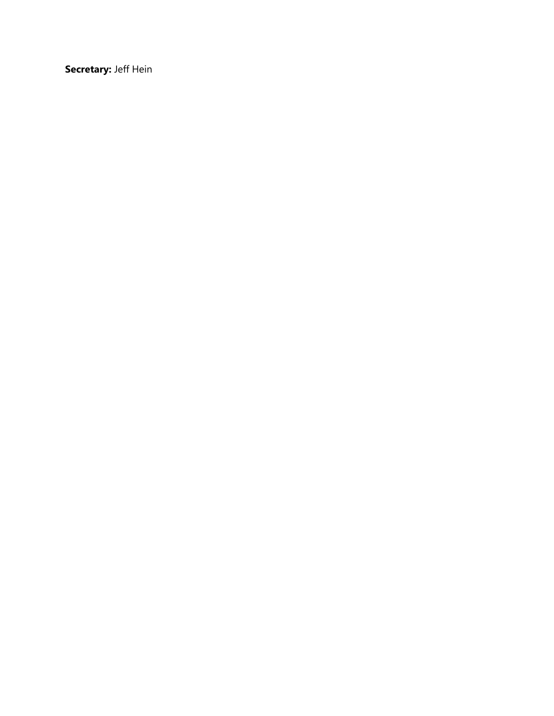**Secretary:** Jeff Hein